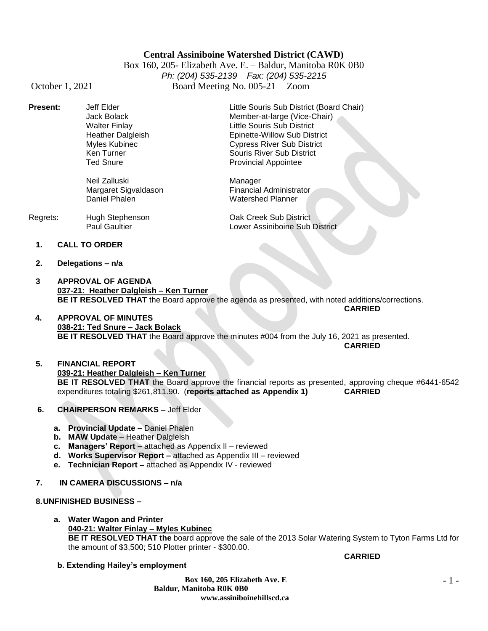# **Central Assiniboine Watershed District (CAWD)**

Box 160, 205- Elizabeth Ave. E. – Baldur, Manitoba R0K 0B0 *Ph: (204) 535-2139 Fax: (204) 535-2215* October 1, 2021 Board Meeting No. 005-21 Zoom

| <b>Present:</b> | Jeff Elder<br>Jack Bolack<br>Walter Finlay<br><b>Heather Dalgleish</b><br>Myles Kubinec<br>Ken Turner<br><b>Ted Snure</b> | Little Souris Sub District (Board Chair)<br>Member-at-large (Vice-Chair)<br>Little Souris Sub District<br>Epinette-Willow Sub District<br><b>Cypress River Sub District</b><br>Souris River Sub District<br><b>Provincial Appointee</b> |
|-----------------|---------------------------------------------------------------------------------------------------------------------------|-----------------------------------------------------------------------------------------------------------------------------------------------------------------------------------------------------------------------------------------|
|                 | Neil Zalluski<br>Margaret Sigvaldason<br>Daniel Phalen                                                                    | Manager<br><b>Financial Administrator</b><br><b>Watershed Planner</b>                                                                                                                                                                   |

| Regrets: | Hugh Stephenson      | Oak Creek Sub District         |
|----------|----------------------|--------------------------------|
|          | <b>Paul Gaultier</b> | Lower Assiniboine Sub District |

- **1. CALL TO ORDER**
- **2. Delegations – n/a**
- **3 APPROVAL OF AGENDA 037-21: Heather Dalgleish – Ken Turner BE IT RESOLVED THAT** the Board approve the agenda as presented, with noted additions/corrections. **CARRIED**
- **4. APPROVAL OF MINUTES 038-21: Ted Snure – Jack Bolack BE IT RESOLVED THAT** the Board approve the minutes #004 from the July 16, 2021 as presented. **CARRIED**

**5. FINANCIAL REPORT 039-21: Heather Dalgleish – Ken Turner BE IT RESOLVED THAT** the Board approve the financial reports as presented, approving cheque #6441-6542 expenditures totaling \$261,811.90. (**reports attached as Appendix 1) CARRIED**

- **6. CHAIRPERSON REMARKS –** Jeff Elder
	- **a. Provincial Update –** Daniel Phalen
	- **b. MAW Update**  Heather Dalgleish
	- **c. Managers' Report –** attached as Appendix lI reviewed
	- **d. Works Supervisor Report –** attached as Appendix III reviewed
	- **e. Technician Report –** attached as Appendix IV reviewed
- **7. IN CAMERA DISCUSSIONS – n/a**

**8.UNFINISHED BUSINESS –**

- **a. Water Wagon and Printer 040-21: Walter Finlay – Myles Kubinec BE IT RESOLVED THAT the** board approve the sale of the 2013 Solar Watering System to Tyton Farms Ltd for the amount of \$3,500; 510 Plotter printer - \$300.00.
- **b. Extending Hailey's employment**

**Box 160, 205 Elizabeth Ave. E Baldur, Manitoba R0K 0B0 www.assiniboinehillscd.ca**

#### **CARRIED**

- 1 -